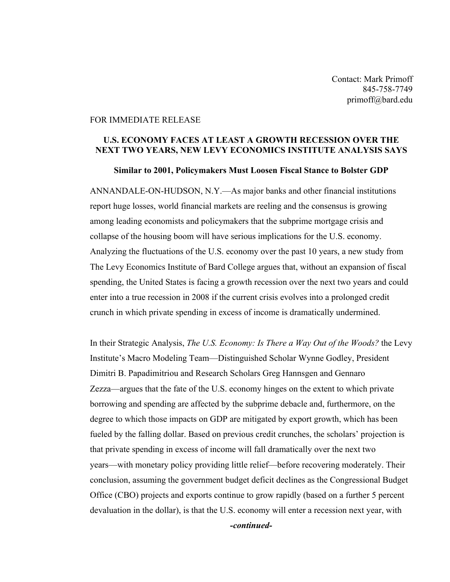Contact: Mark Primoff 845-758-7749 primoff@bard.edu

## FOR IMMEDIATE RELEASE

## U.S. ECONOMY FACES AT LEAST A GROWTH RECESSION OVER THE NEXT TWO YEARS, NEW LEVY ECONOMICS INSTITUTE ANALYSIS SAYS

## Similar to 2001, Policymakers Must Loosen Fiscal Stance to Bolster GDP

ANNANDALE-ON-HUDSON, N.Y.—As major banks and other financial institutions report huge losses, world financial markets are reeling and the consensus is growing among leading economists and policymakers that the subprime mortgage crisis and collapse of the housing boom will have serious implications for the U.S. economy. Analyzing the fluctuations of the U.S. economy over the past 10 years, a new study from The Levy Economics Institute of Bard College argues that, without an expansion of fiscal spending, the United States is facing a growth recession over the next two years and could enter into a true recession in 2008 if the current crisis evolves into a prolonged credit crunch in which private spending in excess of income is dramatically undermined.

In their Strategic Analysis, *The U.S. Economy: Is There a Way Out of the Woods?* the Levy Institute's Macro Modeling Team—Distinguished Scholar Wynne Godley, President Dimitri B. Papadimitriou and Research Scholars Greg Hannsgen and Gennaro Zezza—argues that the fate of the U.S. economy hinges on the extent to which private borrowing and spending are affected by the subprime debacle and, furthermore, on the degree to which those impacts on GDP are mitigated by export growth, which has been fueled by the falling dollar. Based on previous credit crunches, the scholars' projection is that private spending in excess of income will fall dramatically over the next two years—with monetary policy providing little relief—before recovering moderately. Their conclusion, assuming the government budget deficit declines as the Congressional Budget Office (CBO) projects and exports continue to grow rapidly (based on a further 5 percent devaluation in the dollar), is that the U.S. economy will enter a recession next year, with

*-continued-*